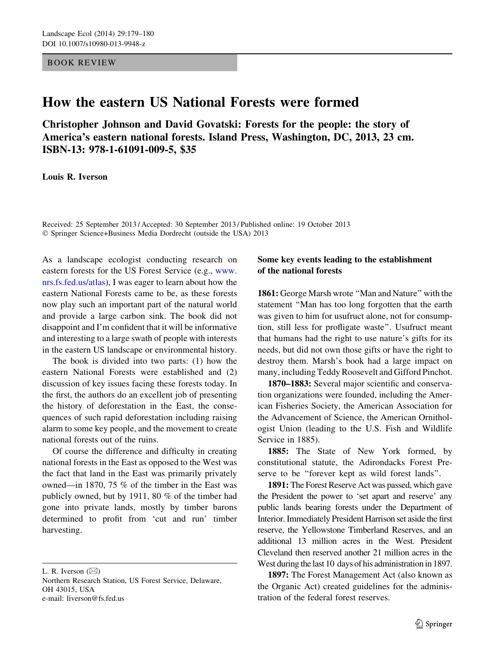## BOOK REVIEW

## How the eastern US National Forests were formed

Christopher Johnson and David Govatski: Forests for the people: the story of America's eastern national forests. Island Press, Washington, DC, 2013, 23 cm. ISBN-13: 978-1-61091-009-5, \$35

Louis R. Iverson

Received: 25 September 2013 / Accepted: 30 September 2013 / Published online: 19 October 2013 - Springer Science+Business Media Dordrecht (outside the USA) 2013

As a landscape ecologist conducting research on eastern forests for the US Forest Service (e.g., [www.](http://www.nrs.fs.fed.us/atlas) [nrs.fs.fed.us/atlas](http://www.nrs.fs.fed.us/atlas)), I was eager to learn about how the eastern National Forests came to be, as these forests now play such an important part of the natural world and provide a large carbon sink. The book did not disappoint and I'm confident that it will be informative and interesting to a large swath of people with interests in the eastern US landscape or environmental history.

The book is divided into two parts: (1) how the eastern National Forests were established and (2) discussion of key issues facing these forests today. In the first, the authors do an excellent job of presenting the history of deforestation in the East, the consequences of such rapid deforestation including raising alarm to some key people, and the movement to create national forests out of the ruins.

Of course the difference and difficulty in creating national forests in the East as opposed to the West was the fact that land in the East was primarily privately owned—in 1870, 75 % of the timber in the East was publicly owned, but by 1911, 80 % of the timber had gone into private lands, mostly by timber barons determined to profit from 'cut and run' timber harvesting.

L. R. Iverson  $(\boxtimes)$ 

Northern Research Station, US Forest Service, Delaware, OH 43015, USA e-mail: liverson@fs.fed.us

## Some key events leading to the establishment of the national forests

1861: George Marsh wrote "Man and Nature" with the statement ''Man has too long forgotten that the earth was given to him for usufruct alone, not for consumption, still less for profligate waste''. Usufruct meant that humans had the right to use nature's gifts for its needs, but did not own those gifts or have the right to destroy them. Marsh's book had a large impact on many, including Teddy Roosevelt and Gifford Pinchot.

1870–1883: Several major scientific and conservation organizations were founded, including the American Fisheries Society, the American Association for the Advancement of Science, the American Ornithologist Union (leading to the U.S. Fish and Wildlife Service in 1885).

1885: The State of New York formed, by constitutional statute, the Adirondacks Forest Preserve to be ''forever kept as wild forest lands''.

1891: The Forest Reserve Act was passed, which gave the President the power to 'set apart and reserve' any public lands bearing forests under the Department of Interior. Immediately President Harrison set aside the first reserve, the Yellowstone Timberland Reserves, and an additional 13 million acres in the West. President Cleveland then reserved another 21 million acres in the West during the last 10 days of his administration in 1897.

1897: The Forest Management Act (also known as the Organic Act) created guidelines for the administration of the federal forest reserves.